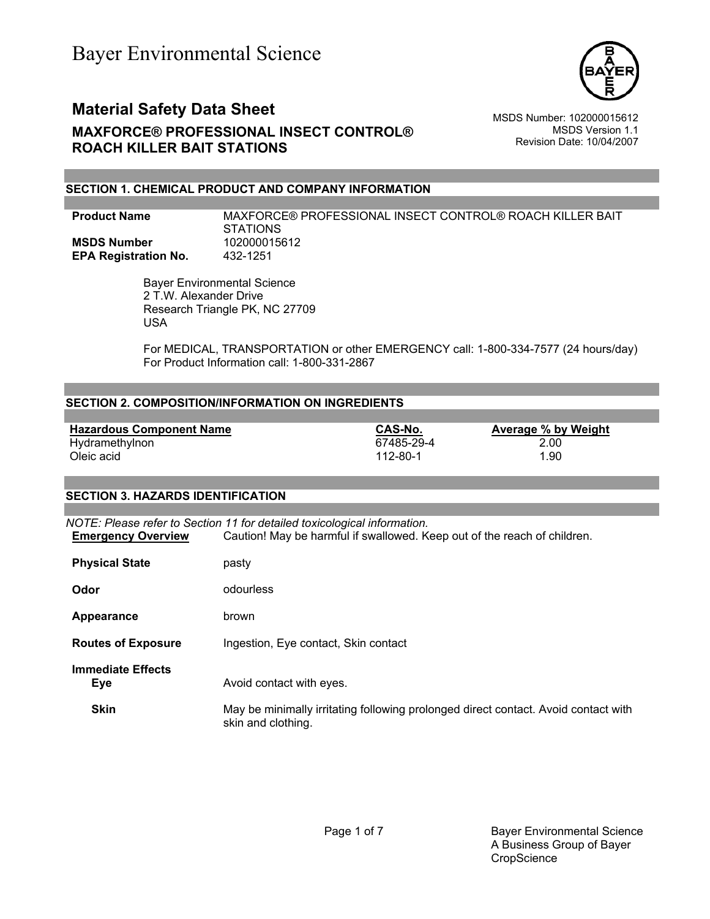

MSDS Version 1.1 Revision Date: 10/04/2007

### **SECTION 1. CHEMICAL PRODUCT AND COMPANY INFORMATION**

### **Product Name** MAXFORCE® PROFESSIONAL INSECT CONTROL® ROACH KILLER BAIT STATIONS **MSDS Number** 102000015612<br>**EPA Registration No.** 432-1251 **EPA Registration No.**

 Bayer Environmental Science 2 T.W. Alexander Drive Research Triangle PK, NC 27709 USA

For MEDICAL, TRANSPORTATION or other EMERGENCY call: 1-800-334-7577 (24 hours/day) For Product Information call: 1-800-331-2867

### **SECTION 2. COMPOSITION/INFORMATION ON INGREDIENTS**

| <b>Hazardous Component Name</b> | CAS-No.    | Average % by Weight |
|---------------------------------|------------|---------------------|
| Hydramethylnon                  | 67485-29-4 | 2.00                |
| Oleic acid                      | 112-80-1   | 1.90                |

#### **SECTION 3. HAZARDS IDENTIFICATION**

*NOTE: Please refer to Section 11 for detailed toxicological information.* **Emergency Overview** Caution! May be harmful if swallowed. Keep out of the reach of children.

| <b>Physical State</b>           | pasty                                                                                                    |
|---------------------------------|----------------------------------------------------------------------------------------------------------|
| Odor                            | odourless                                                                                                |
| Appearance                      | brown                                                                                                    |
| <b>Routes of Exposure</b>       | Ingestion, Eye contact, Skin contact                                                                     |
| <b>Immediate Effects</b><br>Eye | Avoid contact with eyes.                                                                                 |
| <b>Skin</b>                     | May be minimally irritating following prolonged direct contact. Avoid contact with<br>skin and clothing. |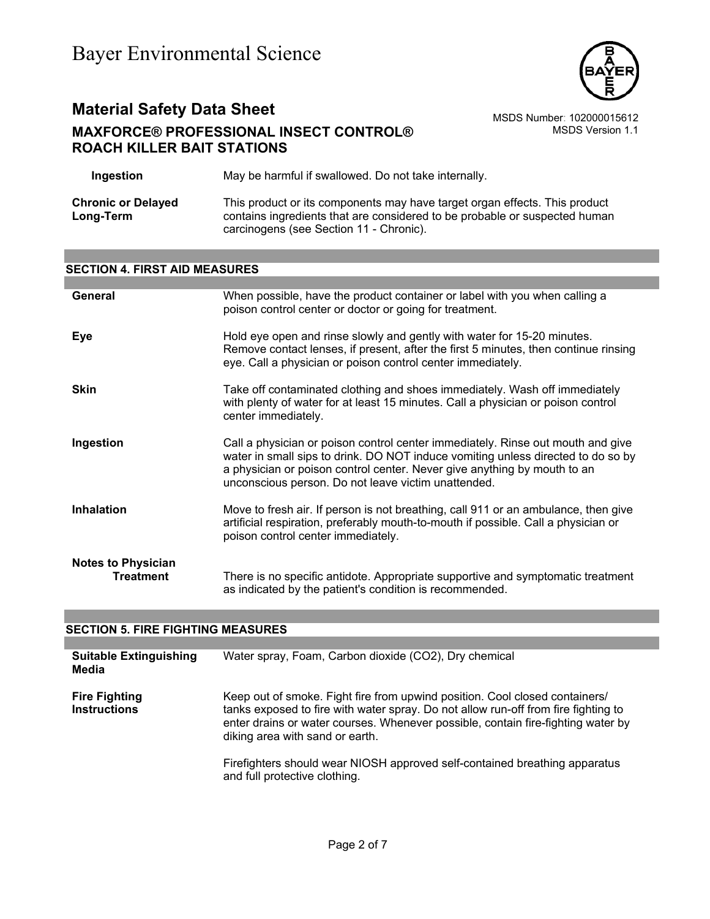

# **Material Safety Data Sheet** MSDS Number: 102000015612 **MAXFORCE® PROFESSIONAL INSECT CONTROL® ROACH KILLER BAIT STATIONS**

MSDS Version 1.1

| Ingestion                              | May be harmful if swallowed. Do not take internally.                                                                                                                                                |
|----------------------------------------|-----------------------------------------------------------------------------------------------------------------------------------------------------------------------------------------------------|
| <b>Chronic or Delayed</b><br>Long-Term | This product or its components may have target organ effects. This product<br>contains ingredients that are considered to be probable or suspected human<br>carcinogens (see Section 11 - Chronic). |

### **SECTION 4. FIRST AID MEASURES**

| General                                       | When possible, have the product container or label with you when calling a<br>poison control center or doctor or going for treatment.                                                                                                                                                                  |
|-----------------------------------------------|--------------------------------------------------------------------------------------------------------------------------------------------------------------------------------------------------------------------------------------------------------------------------------------------------------|
| Eye                                           | Hold eye open and rinse slowly and gently with water for 15-20 minutes.<br>Remove contact lenses, if present, after the first 5 minutes, then continue rinsing<br>eye. Call a physician or poison control center immediately.                                                                          |
| <b>Skin</b>                                   | Take off contaminated clothing and shoes immediately. Wash off immediately<br>with plenty of water for at least 15 minutes. Call a physician or poison control<br>center immediately.                                                                                                                  |
| Ingestion                                     | Call a physician or poison control center immediately. Rinse out mouth and give<br>water in small sips to drink. DO NOT induce vomiting unless directed to do so by<br>a physician or poison control center. Never give anything by mouth to an<br>unconscious person. Do not leave victim unattended. |
| <b>Inhalation</b>                             | Move to fresh air. If person is not breathing, call 911 or an ambulance, then give<br>artificial respiration, preferably mouth-to-mouth if possible. Call a physician or<br>poison control center immediately.                                                                                         |
| <b>Notes to Physician</b><br><b>Treatment</b> | There is no specific antidote. Appropriate supportive and symptomatic treatment<br>as indicated by the patient's condition is recommended.                                                                                                                                                             |

#### **SECTION 5. FIRE FIGHTING MEASURES**

| <b>Suitable Extinguishing</b><br>Media      | Water spray, Foam, Carbon dioxide (CO2), Dry chemical                                                                                                                                                                                                                                    |
|---------------------------------------------|------------------------------------------------------------------------------------------------------------------------------------------------------------------------------------------------------------------------------------------------------------------------------------------|
| <b>Fire Fighting</b><br><b>Instructions</b> | Keep out of smoke. Fight fire from upwind position. Cool closed containers/<br>tanks exposed to fire with water spray. Do not allow run-off from fire fighting to<br>enter drains or water courses. Whenever possible, contain fire-fighting water by<br>diking area with sand or earth. |
|                                             | Firefighters should wear NIOSH approved self-contained breathing apparatus<br>and full protective clothing.                                                                                                                                                                              |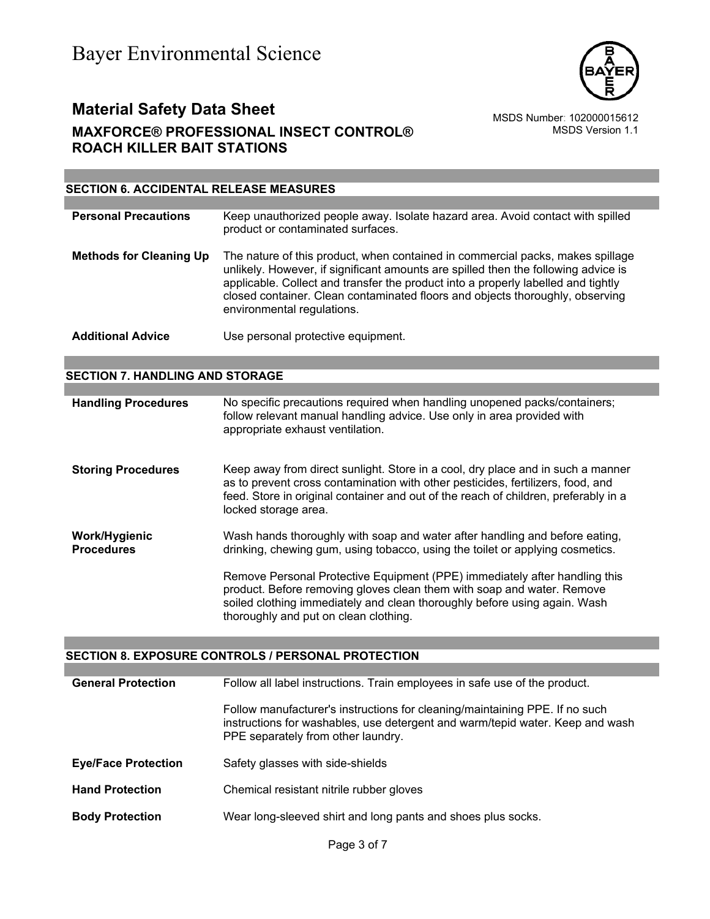

MSDS Version 1.1

### **SECTION 6. ACCIDENTAL RELEASE MEASURES**

| <b>Personal Precautions</b>    | Keep unauthorized people away. Isolate hazard area. Avoid contact with spilled<br>product or contaminated surfaces.                                                                                                                                                                                                                                                      |
|--------------------------------|--------------------------------------------------------------------------------------------------------------------------------------------------------------------------------------------------------------------------------------------------------------------------------------------------------------------------------------------------------------------------|
| <b>Methods for Cleaning Up</b> | The nature of this product, when contained in commercial packs, makes spillage<br>unlikely. However, if significant amounts are spilled then the following advice is<br>applicable. Collect and transfer the product into a properly labelled and tightly<br>closed container. Clean contaminated floors and objects thoroughly, observing<br>environmental regulations. |
| <b>Additional Advice</b>       | Use personal protective equipment.                                                                                                                                                                                                                                                                                                                                       |

### **SECTION 7. HANDLING AND STORAGE**

| <b>Handling Procedures</b>         | No specific precautions required when handling unopened packs/containers;<br>follow relevant manual handling advice. Use only in area provided with<br>appropriate exhaust ventilation.                                                                                                                                                                                                                                                    |
|------------------------------------|--------------------------------------------------------------------------------------------------------------------------------------------------------------------------------------------------------------------------------------------------------------------------------------------------------------------------------------------------------------------------------------------------------------------------------------------|
| <b>Storing Procedures</b>          | Keep away from direct sunlight. Store in a cool, dry place and in such a manner<br>as to prevent cross contamination with other pesticides, fertilizers, food, and<br>feed. Store in original container and out of the reach of children, preferably in a<br>locked storage area.                                                                                                                                                          |
| Work/Hygienic<br><b>Procedures</b> | Wash hands thoroughly with soap and water after handling and before eating,<br>drinking, chewing gum, using tobacco, using the toilet or applying cosmetics.<br>Remove Personal Protective Equipment (PPE) immediately after handling this<br>product. Before removing gloves clean them with soap and water. Remove<br>soiled clothing immediately and clean thoroughly before using again. Wash<br>thoroughly and put on clean clothing. |

#### **SECTION 8. EXPOSURE CONTROLS / PERSONAL PROTECTION**

| <b>General Protection</b>  | Follow all label instructions. Train employees in safe use of the product.                                                                                                                         |
|----------------------------|----------------------------------------------------------------------------------------------------------------------------------------------------------------------------------------------------|
|                            | Follow manufacturer's instructions for cleaning/maintaining PPE. If no such<br>instructions for washables, use detergent and warm/tepid water. Keep and wash<br>PPE separately from other laundry. |
| <b>Eye/Face Protection</b> | Safety glasses with side-shields                                                                                                                                                                   |
| <b>Hand Protection</b>     | Chemical resistant nitrile rubber gloves                                                                                                                                                           |
| <b>Body Protection</b>     | Wear long-sleeved shirt and long pants and shoes plus socks.                                                                                                                                       |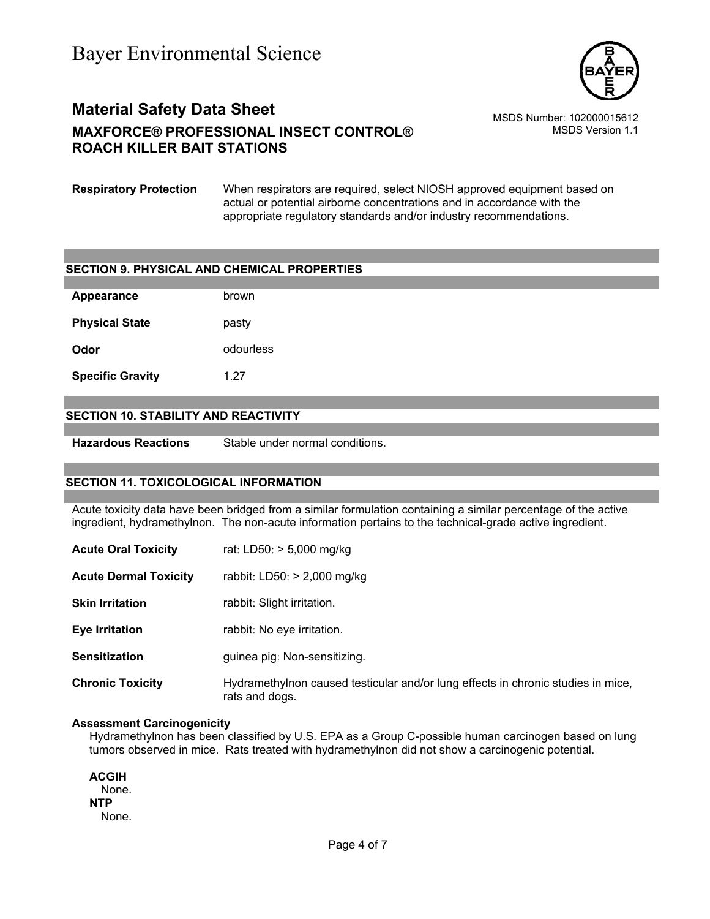

MSDS Version 1.1

**Respiratory Protection** When respirators are required, select NIOSH approved equipment based on actual or potential airborne concentrations and in accordance with the appropriate regulatory standards and/or industry recommendations.

### **SECTION 9. PHYSICAL AND CHEMICAL PROPERTIES**

| Appearance              | brown     |
|-------------------------|-----------|
| <b>Physical State</b>   | pasty     |
| Odor                    | odourless |
| <b>Specific Gravity</b> | 1.27      |

#### **SECTION 10. STABILITY AND REACTIVITY**

**Hazardous Reactions** Stable under normal conditions.

#### **SECTION 11. TOXICOLOGICAL INFORMATION**

Acute toxicity data have been bridged from a similar formulation containing a similar percentage of the active ingredient, hydramethylnon. The non-acute information pertains to the technical-grade active ingredient.

| <b>Acute Oral Toxicity</b>   | rat: LD50: $> 5,000$ mg/kg                                                                         |
|------------------------------|----------------------------------------------------------------------------------------------------|
| <b>Acute Dermal Toxicity</b> | rabbit: LD50: $>$ 2,000 mg/kg                                                                      |
| <b>Skin Irritation</b>       | rabbit: Slight irritation.                                                                         |
| <b>Eye Irritation</b>        | rabbit: No eye irritation.                                                                         |
| <b>Sensitization</b>         | guinea pig: Non-sensitizing.                                                                       |
| <b>Chronic Toxicity</b>      | Hydramethylnon caused testicular and/or lung effects in chronic studies in mice,<br>rats and dogs. |

#### **Assessment Carcinogenicity**

Hydramethylnon has been classified by U.S. EPA as a Group C-possible human carcinogen based on lung tumors observed in mice. Rats treated with hydramethylnon did not show a carcinogenic potential.

**ACGIH** None. **NTP** None.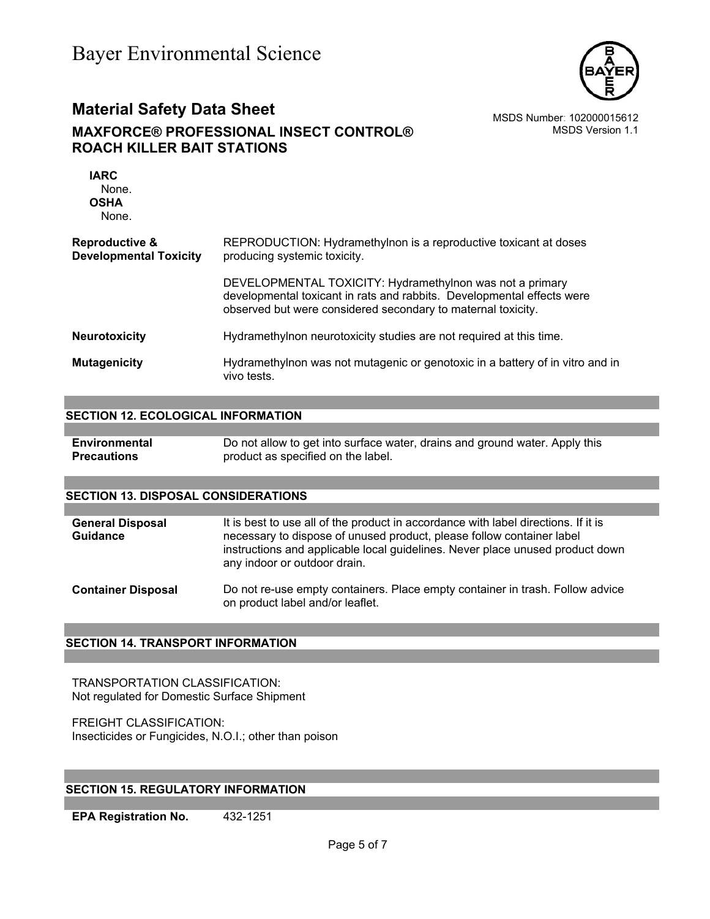

MSDS Version 1.1

| <b>IARC</b><br>None.<br><b>OSHA</b><br>None.               |                                                                                                                                                                                                    |
|------------------------------------------------------------|----------------------------------------------------------------------------------------------------------------------------------------------------------------------------------------------------|
| <b>Reproductive &amp;</b><br><b>Developmental Toxicity</b> | REPRODUCTION: Hydramethylnon is a reproductive toxicant at doses<br>producing systemic toxicity.                                                                                                   |
|                                                            | DEVELOPMENTAL TOXICITY: Hydramethylnon was not a primary<br>developmental toxicant in rats and rabbits. Developmental effects were<br>observed but were considered secondary to maternal toxicity. |
| <b>Neurotoxicity</b>                                       | Hydramethylnon neurotoxicity studies are not required at this time.                                                                                                                                |
| <b>Mutagenicity</b>                                        | Hydramethylnon was not mutagenic or genotoxic in a battery of in vitro and in<br>vivo tests.                                                                                                       |

#### **SECTION 12. ECOLOGICAL INFORMATION**

| Environmental      | Do not allow to get into surface water, drains and ground water. Apply this |
|--------------------|-----------------------------------------------------------------------------|
| <b>Precautions</b> | product as specified on the label.                                          |

#### **SECTION 13. DISPOSAL CONSIDERATIONS**

| <b>General Disposal</b><br><b>Guidance</b> | It is best to use all of the product in accordance with label directions. If it is<br>necessary to dispose of unused product, please follow container label<br>instructions and applicable local guidelines. Never place unused product down<br>any indoor or outdoor drain. |
|--------------------------------------------|------------------------------------------------------------------------------------------------------------------------------------------------------------------------------------------------------------------------------------------------------------------------------|
| <b>Container Disposal</b>                  | Do not re-use empty containers. Place empty container in trash. Follow advice<br>on product label and/or leaflet.                                                                                                                                                            |

#### **SECTION 14. TRANSPORT INFORMATION**

TRANSPORTATION CLASSIFICATION: Not regulated for Domestic Surface Shipment

FREIGHT CLASSIFICATION: Insecticides or Fungicides, N.O.I.; other than poison

### **SECTION 15. REGULATORY INFORMATION**

**EPA Registration No.** 432-1251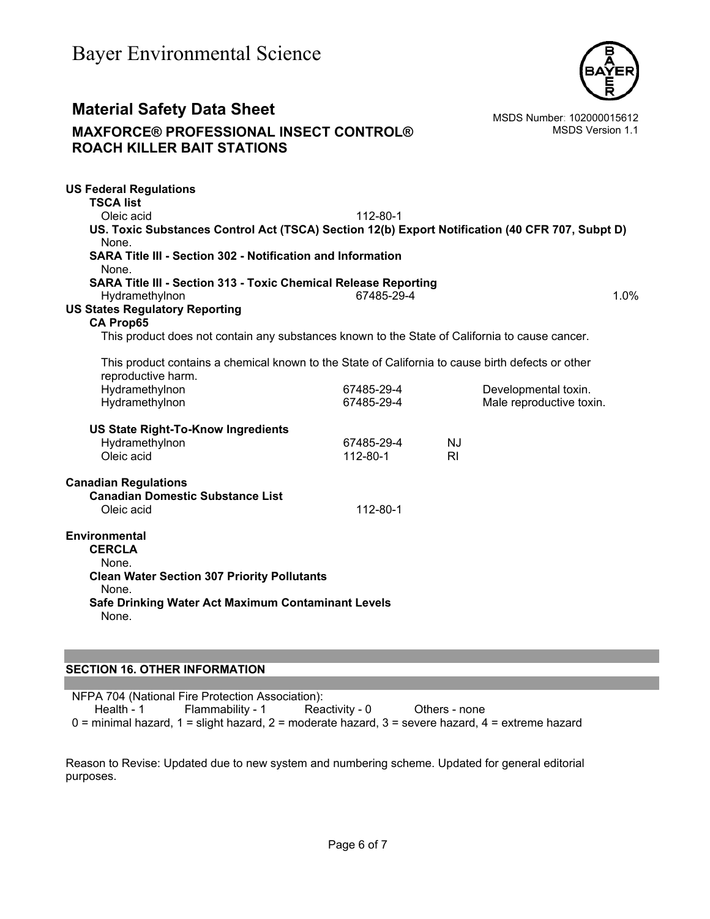

MSDS Version 1.1

| <b>US Federal Regulations</b>                                                                                           |            |                |                          |      |
|-------------------------------------------------------------------------------------------------------------------------|------------|----------------|--------------------------|------|
| <b>TSCA list</b>                                                                                                        |            |                |                          |      |
| Oleic acid                                                                                                              | 112-80-1   |                |                          |      |
| US. Toxic Substances Control Act (TSCA) Section 12(b) Export Notification (40 CFR 707, Subpt D)<br>None.                |            |                |                          |      |
| <b>SARA Title III - Section 302 - Notification and Information</b><br>None.                                             |            |                |                          |      |
| <b>SARA Title III - Section 313 - Toxic Chemical Release Reporting</b><br>Hydramethylnon                                | 67485-29-4 |                |                          | 1.0% |
| <b>US States Regulatory Reporting</b>                                                                                   |            |                |                          |      |
| <b>CA Prop65</b>                                                                                                        |            |                |                          |      |
| This product does not contain any substances known to the State of California to cause cancer.                          |            |                |                          |      |
|                                                                                                                         |            |                |                          |      |
| This product contains a chemical known to the State of California to cause birth defects or other<br>reproductive harm. |            |                |                          |      |
| Hydramethylnon                                                                                                          | 67485-29-4 |                | Developmental toxin.     |      |
| Hydramethylnon                                                                                                          | 67485-29-4 |                | Male reproductive toxin. |      |
| <b>US State Right-To-Know Ingredients</b>                                                                               |            |                |                          |      |
| Hydramethylnon                                                                                                          | 67485-29-4 | <b>NJ</b>      |                          |      |
| Oleic acid                                                                                                              | 112-80-1   | R <sub>l</sub> |                          |      |
| <b>Canadian Regulations</b>                                                                                             |            |                |                          |      |
| <b>Canadian Domestic Substance List</b>                                                                                 |            |                |                          |      |
| Oleic acid                                                                                                              | 112-80-1   |                |                          |      |
| <b>Environmental</b><br><b>CERCLA</b>                                                                                   |            |                |                          |      |
| None.                                                                                                                   |            |                |                          |      |
| <b>Clean Water Section 307 Priority Pollutants</b><br>None.                                                             |            |                |                          |      |
| Safe Drinking Water Act Maximum Contaminant Levels<br>None.                                                             |            |                |                          |      |
|                                                                                                                         |            |                |                          |      |

### **SECTION 16. OTHER INFORMATION**

NFPA 704 (National Fire Protection Association): Health - 1 Flammability - 1 Reactivity - 0 Others - none 0 = minimal hazard, 1 = slight hazard, 2 = moderate hazard, 3 = severe hazard, 4 = extreme hazard

Reason to Revise: Updated due to new system and numbering scheme. Updated for general editorial purposes.